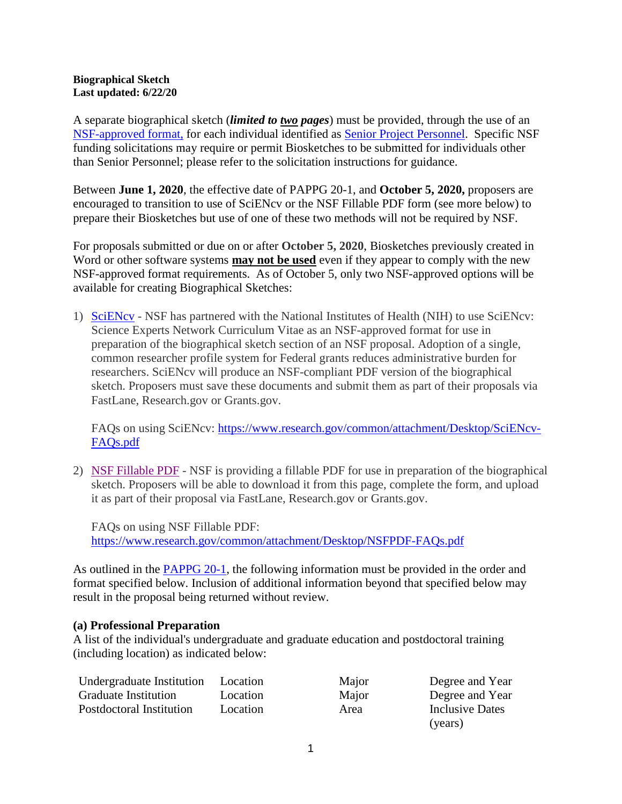#### **Biographical Sketch Last updated: 6/22/20**

A separate biographical sketch (*limited to two pages*) must be provided, through the use of an [NSF-approved format,](https://www.nsf.gov/bfa/dias/policy/biosketch.jsp) for each individual identified as [Senior Project Personnel.](https://www.nsf.gov/pubs/policydocs/pappg20_1/pappg_2.jsp#2ex3) Specific NSF funding solicitations may require or permit Biosketches to be submitted for individuals other than Senior Personnel; please refer to the solicitation instructions for guidance.

Between **June 1, 2020**, the effective date of PAPPG 20-1, and **October 5, 2020,** proposers are encouraged to transition to use of SciENcv or the NSF Fillable PDF form (see more below) to prepare their Biosketches but use of one of these two methods will not be required by NSF.

For proposals submitted or due on or after **October 5, 2020**, Biosketches previously created in Word or other software systems **may not be used** even if they appear to comply with the new NSF-approved format requirements. As of October 5, only two NSF-approved options will be available for creating Biographical Sketches:

1) [SciENcv](https://www.ncbi.nlm.nih.gov/sciencv/) - NSF has partnered with the National Institutes of Health (NIH) to use SciENcv: Science Experts Network Curriculum Vitae as an NSF-approved format for use in preparation of the biographical sketch section of an NSF proposal. Adoption of a single, common researcher profile system for Federal grants reduces administrative burden for researchers. SciENcv will produce an NSF-compliant PDF version of the biographical sketch. Proposers must save these documents and submit them as part of their proposals via FastLane, Research.gov or Grants.gov.

FAQs on using SciENcv: [https://www.research.gov/common/attachment/Desktop/SciENcv-](https://www.research.gov/common/attachment/Desktop/SciENcv-FAQs.pdf)[FAQs.pdf](https://www.research.gov/common/attachment/Desktop/SciENcv-FAQs.pdf)

2) [NSF Fillable PDF](https://www.nsf.gov/bfa/dias/policy/nsfapprovedformats/biosketch.pdf) - NSF is providing a fillable PDF for use in preparation of the biographical sketch. Proposers will be able to download it from this page, complete the form, and upload it as part of their proposal via FastLane, Research.gov or Grants.gov.

FAQs on using NSF Fillable PDF: <https://www.research.gov/common/attachment/Desktop/NSFPDF-FAQs.pdf>

As outlined in the **PAPPG 20-1**, the following information must be provided in the order and format specified below. Inclusion of additional information beyond that specified below may result in the proposal being returned without review.

#### **(a) Professional Preparation**

A list of the individual's undergraduate and graduate education and postdoctoral training (including location) as indicated below:

| Undergraduate Institution Location |          |
|------------------------------------|----------|
| <b>Graduate Institution</b>        | Location |
| Postdoctoral Institution           | Location |

Major Degree and Year Major Degree and Year Area Inclusive Dates (years)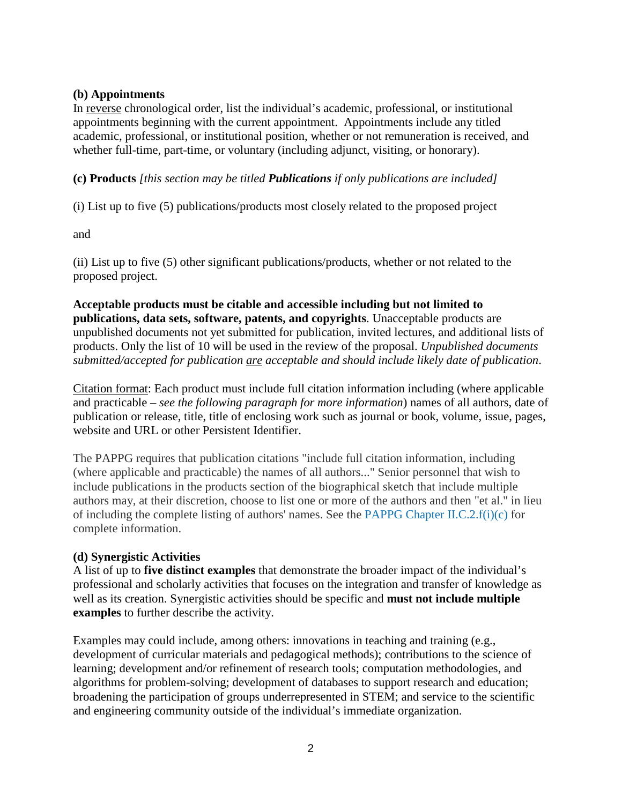#### **(b) Appointments**

In reverse chronological order, list the individual's academic, professional, or institutional appointments beginning with the current appointment. Appointments include any titled academic, professional, or institutional position, whether or not remuneration is received, and whether full-time, part-time, or voluntary (including adjunct, visiting, or honorary).

## **(c) Products** *[this section may be titled Publications if only publications are included]*

(i) List up to five (5) publications/products most closely related to the proposed project

and

(ii) List up to five (5) other significant publications/products, whether or not related to the proposed project.

**Acceptable products must be citable and accessible including but not limited to publications, data sets, software, patents, and copyrights**. Unacceptable products are unpublished documents not yet submitted for publication, invited lectures, and additional lists of products. Only the list of 10 will be used in the review of the proposal. *Unpublished documents submitted/accepted for publication are acceptable and should include likely date of publication*.

Citation format: Each product must include full citation information including (where applicable and practicable *– see the following paragraph for more information*) names of all authors, date of publication or release, title, title of enclosing work such as journal or book, volume, issue, pages, website and URL or other Persistent Identifier.

The PAPPG requires that publication citations "include full citation information, including (where applicable and practicable) the names of all authors..." Senior personnel that wish to include publications in the products section of the biographical sketch that include multiple authors may, at their discretion, choose to list one or more of the authors and then "et al." in lieu of including the complete listing of authors' names. See the [PAPPG Chapter II.C.2.f\(i\)\(c\)](https://www.nsf.gov/pubs/policydocs/pappg20_1/pappg_2.jsp#IIC2fic) for complete information.

## **(d) Synergistic Activities**

A list of up to **five distinct examples** that demonstrate the broader impact of the individual's professional and scholarly activities that focuses on the integration and transfer of knowledge as well as its creation. Synergistic activities should be specific and **must not include multiple examples** to further describe the activity.

Examples may could include, among others: innovations in teaching and training (e.g., development of curricular materials and pedagogical methods); contributions to the science of learning; development and/or refinement of research tools; computation methodologies, and algorithms for problem-solving; development of databases to support research and education; broadening the participation of groups underrepresented in STEM; and service to the scientific and engineering community outside of the individual's immediate organization.